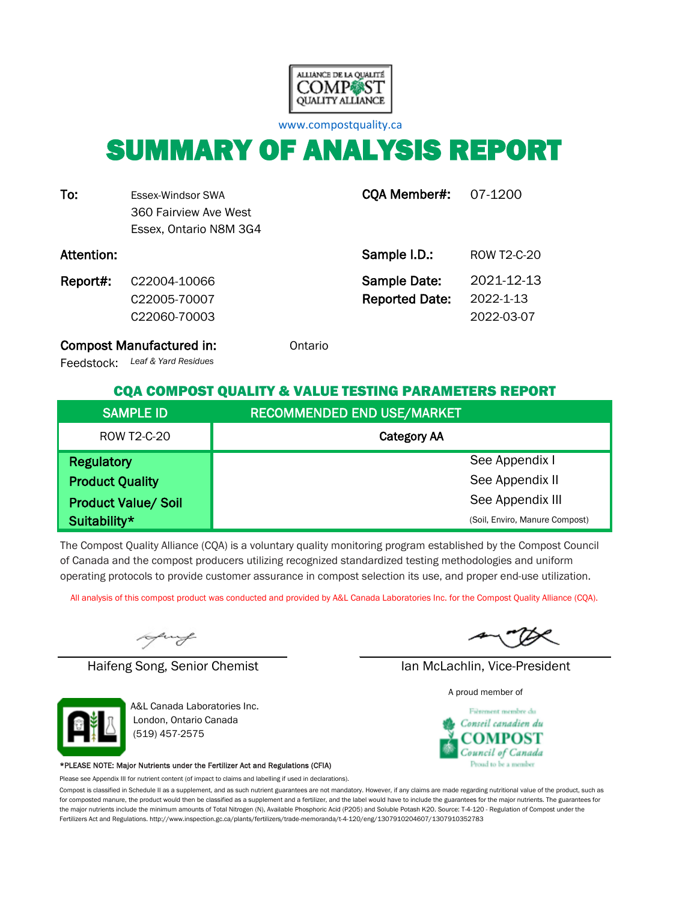

[w](http://www.compostquality.ca/)ww.compostquality.ca

# SUMMARY OF ANALYSIS REPORT

| To:        | Essex-Windsor SWA<br>360 Fairview Ave West<br>Essex, Ontario N8M 3G4 | CQA Member#:                                 | 07-1200                               |
|------------|----------------------------------------------------------------------|----------------------------------------------|---------------------------------------|
| Attention: |                                                                      | Sample I.D.:                                 | ROW T2-C-20                           |
| Report#:   | C22004-10066<br>C22005-70007<br>C <sub>22060</sub> -70003            | <b>Sample Date:</b><br><b>Reported Date:</b> | 2021-12-13<br>2022-1-13<br>2022-03-07 |

Compost Manufactured in: **Compost Manufactured in:** Ontario

*Leaf & Yard Residues* Feedstock:

#### CQA COMPOST QUALITY & VALUE TESTING PARAMETERS REPORT

| <b>SAMPLE ID</b>           | <b>RECOMMENDED END USE/MARKET</b> |
|----------------------------|-----------------------------------|
| ROW T2-C-20                | <b>Category AA</b>                |
| <b>Regulatory</b>          | See Appendix I                    |
| <b>Product Quality</b>     | See Appendix II                   |
| <b>Product Value/ Soil</b> | See Appendix III                  |
| Suitability*               | (Soil, Enviro, Manure Compost)    |

The Compost Quality Alliance (CQA) is a voluntary quality monitoring program established by the Compost Council of Canada and the compost producers utilizing recognized standardized testing methodologies and uniform operating protocols to provide customer assurance in compost selection its use, and proper end-use utilization.

All analysis of this compost product was conducted and provided by A&L Canada Laboratories Inc. for the Compost Quality Alliance (CQA).

uy

Haifeng Song, Senior Chemist Ian McLachlin, Vice-President



A&L Canada Laboratories Inc. London, Ontario Canada (519) 457-2575

#### \*PLEASE NOTE: Major Nutrients under the Fertilizer Act and Regulations (CFIA)

Please see Appendix III for nutrient content (of impact to claims and labelling if used in declarations).

Compost is classified in Schedule II as a supplement, and as such nutrient guarantees are not mandatory. However, if any claims are made regarding nutritional value of the product, such as for composted manure, the product would then be classified as a supplement and a fertilizer, and the label would have to include the guarantees for the major nutrients. The guarantees for the major nutrients include the minimum amounts of Total Nitrogen (N), Available Phosphoric Acid (P2O5) and Soluble Potash K2O. Source: T-4-120 - Regulation of Compost under the Fertilizers Act and Regulations. http://www.inspection.gc.ca/plants/fertilizers/trade-memoranda/t-4-120/eng/1307910204607/1307910352783

A proud member of

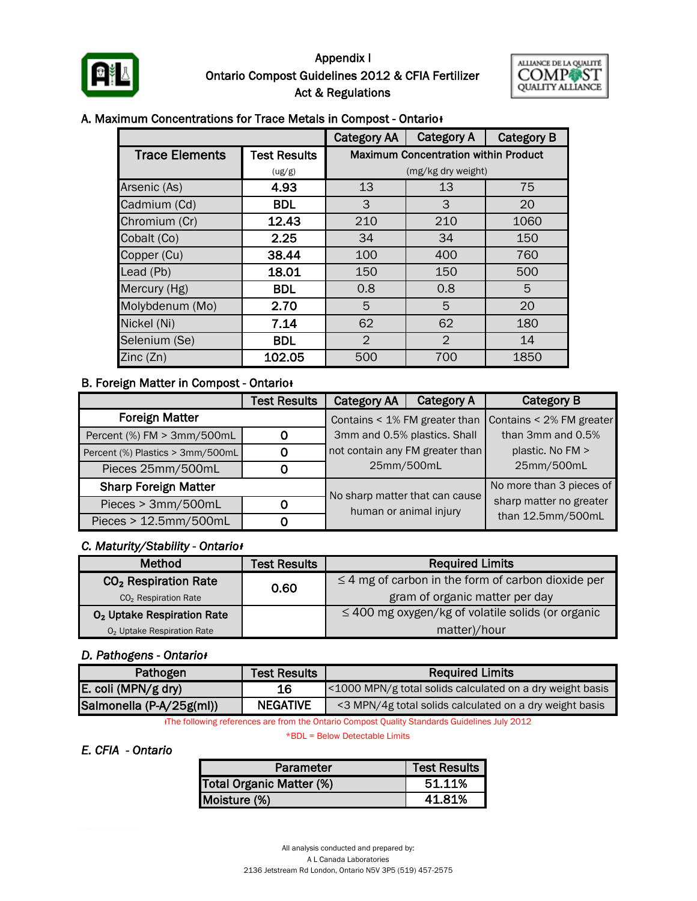

#### Appendix I Ontario Compost Guidelines 2012 & CFIA Fertilizer Act & Regulations



#### A. Maximum Concentrations for Trace Metals in Compost - Ontario<sup>+</sup>

|                       |                     | <b>Category AA</b> | <b>Category A</b>                           | <b>Category B</b> |
|-----------------------|---------------------|--------------------|---------------------------------------------|-------------------|
| <b>Trace Elements</b> | <b>Test Results</b> |                    | <b>Maximum Concentration within Product</b> |                   |
|                       | (ug/g)              |                    | (mg/kg dry weight)                          |                   |
| Arsenic (As)          | 4.93                | 13                 | 13                                          | 75                |
| Cadmium (Cd)          | <b>BDL</b>          | 3                  | 3                                           | 20                |
| Chromium (Cr)         | 12.43               | 210                | 210                                         | 1060              |
| Cobalt (Co)           | 2.25                | 34                 | 34                                          | 150               |
| Copper (Cu)           | 38.44               | 100                | 400                                         | 760               |
| Lead (Pb)             | 18.01               | 150                | 150                                         | 500               |
| Mercury (Hg)          | <b>BDL</b>          | 0.8                | 0.8                                         | 5                 |
| Molybdenum (Mo)       | 2.70                | 5                  | 5                                           | 20                |
| Nickel (Ni)           | 7.14                | 62                 | 62                                          | 180               |
| Selenium (Se)         | <b>BDL</b>          | $\overline{2}$     | $\overline{2}$                              | 14                |
| Zinc(Zn)              | 102.05              | 500                | 700                                         | 1850              |

#### **B. Foreign Matter in Compost - Ontario**

|                                  | <b>Test Results</b> | <b>Category AA</b>                                              | <b>Category A</b> | <b>Category B</b>        |
|----------------------------------|---------------------|-----------------------------------------------------------------|-------------------|--------------------------|
| <b>Foreign Matter</b>            |                     | Contains < 1% FM greater than                                   |                   | Contains < 2% FM greater |
| Percent (%) FM > 3mm/500mL       | 0                   | 3mm and 0.5% plastics. Shall<br>not contain any FM greater than |                   | than 3mm and 0.5%        |
| Percent (%) Plastics > 3mm/500mL | 0                   |                                                                 |                   | plastic. No FM >         |
| Pieces 25mm/500mL                |                     | 25mm/500mL                                                      |                   | 25mm/500mL               |
| <b>Sharp Foreign Matter</b>      |                     |                                                                 |                   | No more than 3 pieces of |
| Pieces > 3mm/500mL               | 0                   | No sharp matter that can cause<br>human or animal injury        |                   | sharp matter no greater  |
| Pieces > 12.5mm/500mL<br>0       |                     |                                                                 |                   | than 12.5mm/500mL        |

#### *C. Maturity/Stability - Ontarioᵻ*

| <b>Method</b>                          | <b>Test Results</b> | <b>Required Limits</b>                                  |  |  |
|----------------------------------------|---------------------|---------------------------------------------------------|--|--|
| CO <sub>2</sub> Respiration Rate       | 0.60                | $\leq$ 4 mg of carbon in the form of carbon dioxide per |  |  |
| CO <sub>2</sub> Respiration Rate       |                     | gram of organic matter per day                          |  |  |
| O <sub>2</sub> Uptake Respiration Rate |                     | $\leq$ 400 mg oxygen/kg of volatile solids (or organic  |  |  |
| O <sub>2</sub> Uptake Respiration Rate |                     | matter)/hour                                            |  |  |

#### *D. Pathogens - Ontarioᵻ*

| Pathogen                 | <b>Test Results</b> | <b>Required Limits</b>                                    |
|--------------------------|---------------------|-----------------------------------------------------------|
| E. coli (MPN/g dry)      | 16                  | <1000 MPN/g total solids calculated on a dry weight basis |
| Salmonella (P-A/25g(ml)) | <b>NEGATIVE</b>     | <3 MPN/4g total solids calculated on a dry weight basis   |

ᵻThe following references are from the Ontario Compost Quality Standards Guidelines July 2012

\*BDL = Below Detectable Limits

#### *E. CFIA - Ontario*

| Parameter                | <b>Test Results  </b> |
|--------------------------|-----------------------|
| Total Organic Matter (%) | 51.11%                |
| Moisture (%)             | 41.81%                |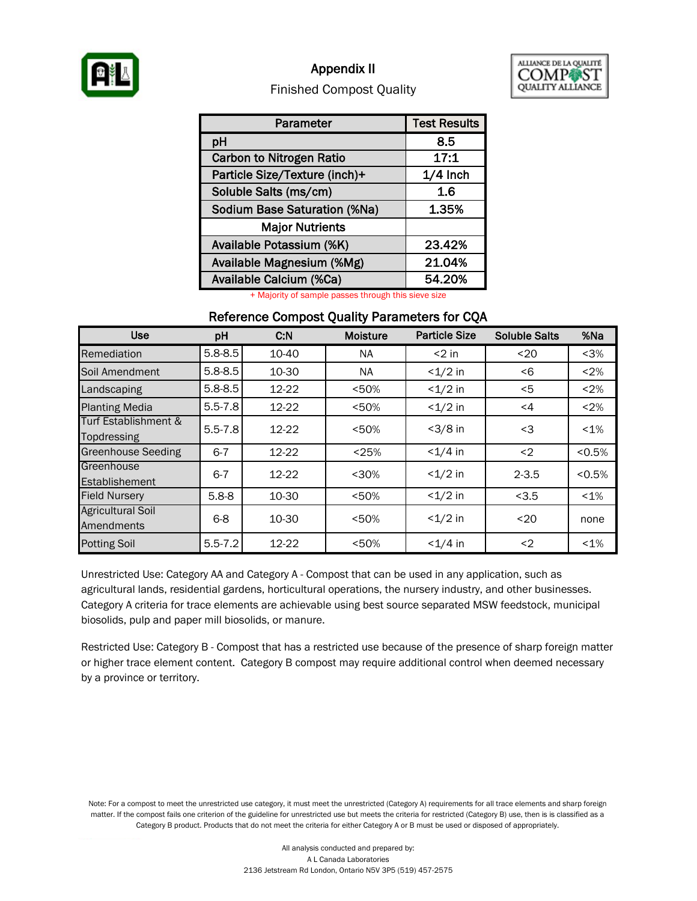

#### Appendix II



#### Finished Compost Quality

| Parameter                           | <b>Test Results</b> |
|-------------------------------------|---------------------|
| pH                                  | 8.5                 |
| <b>Carbon to Nitrogen Ratio</b>     | 17:1                |
| Particle Size/Texture (inch)+       | $1/4$ Inch          |
| Soluble Salts (ms/cm)               | 1.6                 |
| <b>Sodium Base Saturation (%Na)</b> | 1.35%               |
| <b>Major Nutrients</b>              |                     |
| Available Potassium (%K)            | 23.42%              |
| Available Magnesium (%Mg)           | 21.04%              |
| Available Calcium (%Ca)             | 54.20%              |

+ Majority of sample passes through this sieve size

#### Reference Compost Quality Parameters for CQA

| <b>Use</b>                             | pH          | C.N   | <b>Moisture</b> | <b>Particle Size</b> | <b>Soluble Salts</b> | %Na     |
|----------------------------------------|-------------|-------|-----------------|----------------------|----------------------|---------|
| Remediation                            | $5.8 - 8.5$ | 10-40 | NA.             | $<$ 2 in             | $20$                 | $3%$    |
| Soil Amendment                         | $5.8 - 8.5$ | 10-30 | <b>NA</b>       | $<1/2$ in            | < 6                  | < 2%    |
| Landscaping                            | $5.8 - 8.5$ | 12-22 | < 50%           | $<1/2$ in            | $<$ 5                | < 2%    |
| <b>Planting Media</b>                  | $5.5 - 7.8$ | 12-22 | < 50%           | $<1/2$ in            | $\leq 4$             | < 2%    |
| Turf Establishment &<br>Topdressing    | $5.5 - 7.8$ | 12-22 | < 50%           | $<3/8$ in            | <3                   | $< 1\%$ |
| <b>Greenhouse Seeding</b>              | $6 - 7$     | 12-22 | < 25%           | $< 1/4$ in           | $2$                  | < 0.5%  |
| Greenhouse<br>Establishement           | $6 - 7$     | 12-22 | $30%$           | $<1/2$ in            | $2 - 3.5$            | < 0.5%  |
| <b>Field Nursery</b>                   | $5.8 - 8$   | 10-30 | < 50%           | $<1/2$ in            | < 3.5                | $< 1\%$ |
| <b>Agricultural Soil</b><br>Amendments | $6 - 8$     | 10-30 | < 50%           | $<1/2$ in            | $20$                 | none    |
| <b>Potting Soil</b>                    | $5.5 - 7.2$ | 12-22 | < 50%           | $<1/4$ in            | $2$                  | $< 1\%$ |

Unrestricted Use: Category AA and Category A - Compost that can be used in any application, such as agricultural lands, residential gardens, horticultural operations, the nursery industry, and other businesses. Category A criteria for trace elements are achievable using best source separated MSW feedstock, municipal biosolids, pulp and paper mill biosolids, or manure.

Restricted Use: Category B - Compost that has a restricted use because of the presence of sharp foreign matter or higher trace element content. Category B compost may require additional control when deemed necessary by a province or territory.

Note: For a compost to meet the unrestricted use category, it must meet the unrestricted (Category A) requirements for all trace elements and sharp foreign matter. If the compost fails one criterion of the guideline for unrestricted use but meets the criteria for restricted (Category B) use, then is is classified as a Category B product. Products that do not meet the criteria for either Category A or B must be used or disposed of appropriately.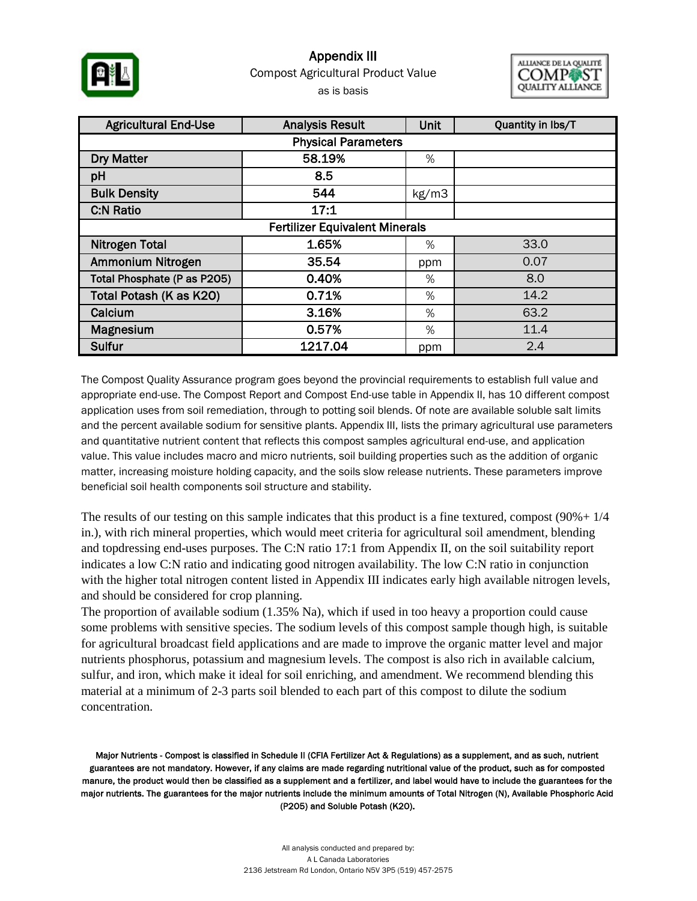

### Appendix III as is basis Compost Agricultural Product Value



| <b>Agricultural End-Use</b>           | <b>Analysis Result</b> |       | Quantity in lbs/T |  |  |  |  |
|---------------------------------------|------------------------|-------|-------------------|--|--|--|--|
| <b>Physical Parameters</b>            |                        |       |                   |  |  |  |  |
| <b>Dry Matter</b>                     | 58.19%                 | %     |                   |  |  |  |  |
| pH                                    | 8.5                    |       |                   |  |  |  |  |
| <b>Bulk Density</b>                   | 544                    | kg/m3 |                   |  |  |  |  |
| <b>C:N Ratio</b>                      | 17:1                   |       |                   |  |  |  |  |
| <b>Fertilizer Equivalent Minerals</b> |                        |       |                   |  |  |  |  |
| <b>Nitrogen Total</b>                 | 1.65%                  | %     | 33.0              |  |  |  |  |
| Ammonium Nitrogen                     | 35.54                  | ppm   | 0.07              |  |  |  |  |
| Total Phosphate (P as P205)           | 0.40%                  | %     | 8.0               |  |  |  |  |
| Total Potash (K as K20)               | 0.71%                  | %     | 14.2              |  |  |  |  |
| Calcium                               | 3.16%                  | %     | 63.2              |  |  |  |  |
| Magnesium                             | 0.57%                  | %     | 11.4              |  |  |  |  |
| Sulfur                                | 1217.04                | ppm   | 2.4               |  |  |  |  |

The Compost Quality Assurance program goes beyond the provincial requirements to establish full value and appropriate end-use. The Compost Report and Compost End-use table in Appendix II, has 10 different compost application uses from soil remediation, through to potting soil blends. Of note are available soluble salt limits and the percent available sodium for sensitive plants. Appendix III, lists the primary agricultural use parameters and quantitative nutrient content that reflects this compost samples agricultural end-use, and application value. This value includes macro and micro nutrients, soil building properties such as the addition of organic matter, increasing moisture holding capacity, and the soils slow release nutrients. These parameters improve beneficial soil health components soil structure and stability.

The results of our testing on this sample indicates that this product is a fine textured, compost  $(90\% + 1/4)$ in.), with rich mineral properties, which would meet criteria for agricultural soil amendment, blending and topdressing end-uses purposes. The C:N ratio 17:1 from Appendix II, on the soil suitability report indicates a low C:N ratio and indicating good nitrogen availability. The low C:N ratio in conjunction with the higher total nitrogen content listed in Appendix III indicates early high available nitrogen levels, and should be considered for crop planning.

The proportion of available sodium (1.35% Na), which if used in too heavy a proportion could cause some problems with sensitive species. The sodium levels of this compost sample though high, is suitable for agricultural broadcast field applications and are made to improve the organic matter level and major nutrients phosphorus, potassium and magnesium levels. The compost is also rich in available calcium, sulfur, and iron, which make it ideal for soil enriching, and amendment. We recommend blending this material at a minimum of 2-3 parts soil blended to each part of this compost to dilute the sodium concentration.

Major Nutrients - Compost is classified in Schedule II (CFIA Fertilizer Act & Regulations) as a supplement, and as such, nutrient guarantees are not mandatory. However, if any claims are made regarding nutritional value of the product, such as for composted manure, the product would then be classified as a supplement and a fertilizer, and label would have to include the guarantees for the major nutrients. The guarantees for the major nutrients include the minimum amounts of Total Nitrogen (N), Available Phosphoric Acid (P2O5) and Soluble Potash (K2O).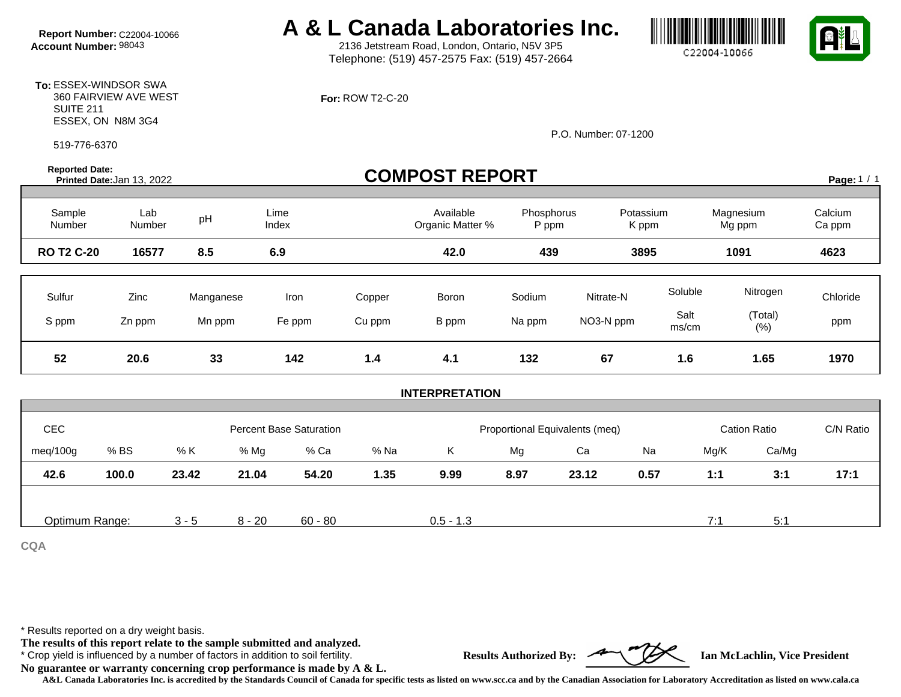**Report Number:** C22004-10066 **A & L Canada Laboratories Inc.**<br>Account Number: 98043 **A & L** 2136 Jetstream Road, London, Ontario, N5V 3P5

2136 Jetstream Road, London, Ontario, N5V 3P5 Telephone: (519) 457-2575 Fax: (519) 457-2664

**For:** ROW T2-C-20

P.O. Number: 07-1200

| <b>Reported Date:</b> | <b>COMPOST REPORT</b><br>Printed Date: Jan 13, 2022 |           |                                |        |                               |                                |           |                    | Page: 1 / 1         |                   |
|-----------------------|-----------------------------------------------------|-----------|--------------------------------|--------|-------------------------------|--------------------------------|-----------|--------------------|---------------------|-------------------|
| Sample<br>Number      | Lab<br>Number                                       | pH        | Lime<br>Index                  |        | Available<br>Organic Matter % | Phosphorus<br>P ppm            |           | Potassium<br>K ppm | Magnesium<br>Mg ppm | Calcium<br>Ca ppm |
| <b>RO T2 C-20</b>     | 16577                                               | 8.5       | 6.9                            |        | 42.0                          | 439                            |           | 3895               | 1091                | 4623              |
| Sulfur                | Zinc                                                | Manganese | Iron                           | Copper | Boron                         | Sodium                         | Nitrate-N | Soluble            | Nitrogen            | Chloride          |
| S ppm                 | Zn ppm                                              | Mn ppm    | Fe ppm                         | Cu ppm | B ppm                         | Na ppm                         | NO3-N ppm | Salt<br>ms/cm      | (Total)<br>(% )     | ppm               |
| 52                    | 20.6                                                | 33        | 142                            | 1.4    | 4.1                           | 132                            | 67        | 1.6                | 1.65                | 1970              |
|                       |                                                     |           |                                |        | <b>INTERPRETATION</b>         |                                |           |                    |                     |                   |
|                       |                                                     |           |                                |        |                               |                                |           |                    |                     |                   |
| CEC                   |                                                     |           | <b>Percent Base Saturation</b> |        |                               | Proportional Equivalents (meq) |           |                    | <b>Cation Ratio</b> | C/N Ratio         |
| meq/100g              | % BS                                                | % K       | % Ca<br>% Mg                   | % Na   | Κ                             | Mg                             | Ca        | Na                 | Ca/Mg<br>Mg/K       |                   |
| 42.6                  | 100.0                                               | 23.42     | 21.04<br>54.20                 | 1.35   | 9.99                          | 8.97                           | 23.12     | 0.57               | 1:1<br>3:1          | 17:1              |
|                       |                                                     |           |                                |        |                               |                                |           |                    |                     |                   |
| Optimum Range:        |                                                     | $3 - 5$   | $8 - 20$<br>$60 - 80$          |        | $0.5 - 1.3$                   |                                |           |                    | 7:1<br>5:1          |                   |

**CQA**

\* Results reported on a dry weight basis.

**The results of this report relate to the sample submitted and analyzed.** 

\* Crop yield is influenced by a number of factors in addition to soil fertility. **Results Authorized By: Ian McLachlin, Vice President**

**No guarantee or warranty concerning crop performance is made by A & L.**

**A&L Canada Laboratories Inc. is accredited by the Standards Council of Canada for specific tests as listed on www.scc.ca and by the Canadian Association for Laboratory Accreditation as listed on www.cala.ca**





C22004-10066

**To:** ESSEX-WINDSOR SWA 360 FAIRVIEW AVE WEST SUITE 211 ESSEX, ON N8M 3G4

519-776-6370

**Reported Date:**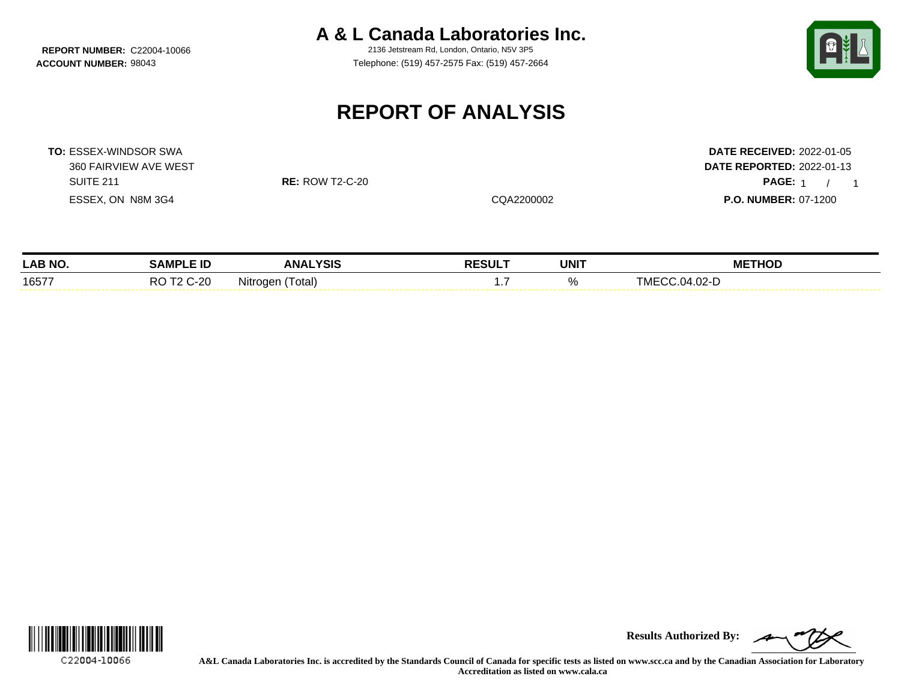**REPORT NUMBER: C22004-10066** 

**A & L Canada Laboratories Inc.**<br>2136 Jetstream Rd. London, Ontario, N5V 3P5

**ACCOUNT NUMBER:** 98043 Telephone: (519) 457-2575 Fax: (519) 457-2664



## **REPORT OF ANALYSIS**

**TO:** ESSEX-WINDSOR SWA **DATE RECEIVED:** 2022-01-05

360 FAIRVIEW AVE WEST **DATE REPORTED:** 2022-01-13 SUITE 211 **RE:** ROW T2-C-20 **PAGE:** 1 / PAGE: 1 / 1 ESSEX, ON N8M 3G4 CQA2200002 **P.O. NUMBER:** 07-1200

| LAB NO. | : ID<br>JAMP'               | <b>ANALYSIS</b>          | <b>RESULT</b> | <b>UNIT</b>    | <b>METHOD</b>      |
|---------|-----------------------------|--------------------------|---------------|----------------|--------------------|
| 16577   | $\sim$ $\sim$<br>P∩<br>∪-∠∪ | .<br>' otal.<br>Nitroger | .             | $\cdots$<br>7ο | .04.02-D<br>. IVI⊏ |



**Results Authorized By:**

**A&L Canada Laboratories Inc. is accredited by the Standards Council of Canada for specific tests as listed on www.scc.ca and by the Canadian Association for Laboratory Accreditation as listed on www.cala.ca**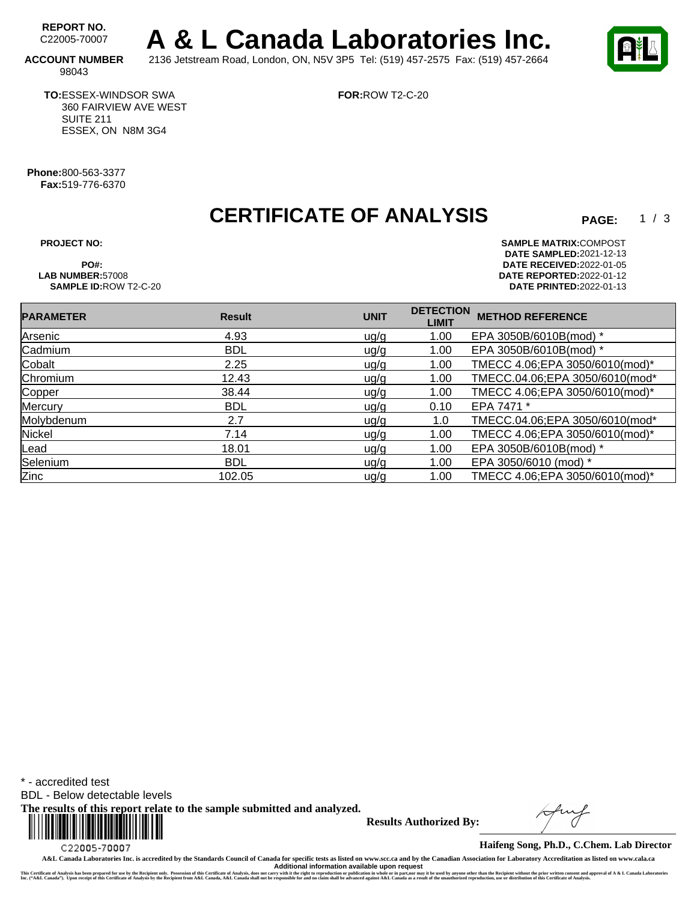REPORT NO. **A & L Canada Laboratories Inc. ACCOUNT NUMBER** 2136 Jetstream Road, London, ON, N5V 3P5 Tel: (519) 457-2575 Fax: (519) 457-2664

**FOR:**ROW T2-C-20

 $1 / 3$ 

98043

**TO:**ESSEX-WINDSOR SWA 360 FAIRVIEW AVE WEST SUITE 211 ESSEX, ON N8M 3G4

**Phone:**800-563-3377 **Fax:**519-776-6370

### **CERTIFICATE OF ANALYSIS**

**SAMPLE ID:ROW T2-C-20** 

**PROJECT NO: SAMPLE MATRIX:** COMPOST **DATE SAMPLED:** 2021-12-13 **PO#: DATE RECEIVED:**2022-01-05 **LAB NUMBER:**57008 **DATE REPORTED:**2022-01-12

| <b>PARAMETER</b> | <b>Result</b> | <b>UNIT</b> | <b>DETECTION</b><br><b>LIMIT</b> | <b>METHOD REFERENCE</b>        |
|------------------|---------------|-------------|----------------------------------|--------------------------------|
| Arsenic          | 4.93          | ug/g        | 1.00                             | EPA 3050B/6010B(mod) *         |
| Cadmium          | <b>BDL</b>    | ug/g        | 1.00                             | EPA 3050B/6010B(mod) *         |
| Cobalt           | 2.25          | uq/q        | 1.00                             | TMECC 4.06;EPA 3050/6010(mod)* |
| Chromium         | 12.43         | uq/q        | 1.00                             | TMECC.04.06;EPA 3050/6010(mod* |
| Copper           | 38.44         | ug/g        | 1.00                             | TMECC 4.06;EPA 3050/6010(mod)* |
| Mercury          | <b>BDL</b>    | u g/g       | 0.10                             | EPA 7471 *                     |
| Molybdenum       | 2.7           | ug/g        | 1.0                              | TMECC.04.06;EPA 3050/6010(mod* |
| Nickel           | 7.14          | ug/g        | 1.00                             | TMECC 4.06;EPA 3050/6010(mod)* |
| Lead             | 18.01         | ug/g        | 1.00                             | EPA 3050B/6010B(mod) *         |
| Selenium         | <b>BDL</b>    | u g/g       | 1.00                             | EPA 3050/6010 (mod) *          |
| <b>Zinc</b>      | 102.05        | uq/q        | 1.00                             | TMECC 4.06;EPA 3050/6010(mod)* |

\* - accredited test

BDL - Below detectable levels

**The results of this report relate to the sample submitted and analyzed.** 



**Results Authorized By:**

**Haifeng Song, Ph.D., C.Chem. Lab Director**

**A&L Canada Laboratories Inc. is accredited by the Standards Council of Canada for specific tests as listed on www.scc.ca and by the Canadian Association for Laboratory Accreditation as listed on www.cala.ca** Additional information available upon request<br>This Certificate of Analysis has been prepared for use by the Recipient only. Possession of this Certificate of Analysis, does not carry with the right to reproduction or publi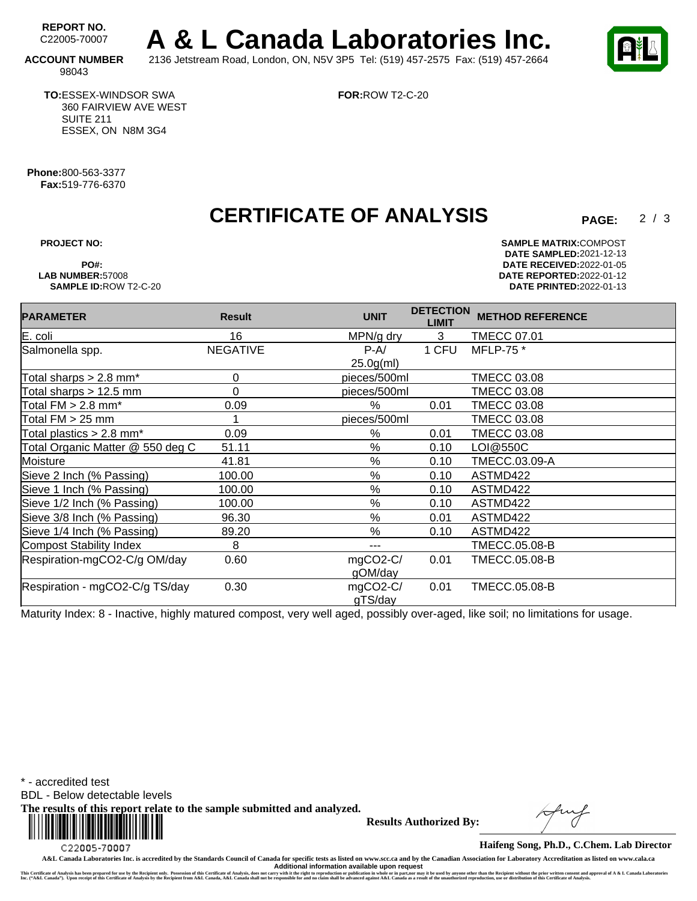REPORT NO.<br>C22005-70007 A & L Canada Laboratories Inc. **ACCOUNT NUMBER** 2136 Jetstream Road, London, ON, N5V 3P5 Tel: (519) 457-2575 Fax: (519) 457-2664



 $2/3$ 

### 98043

**TO:**ESSEX-WINDSOR SWA 360 FAIRVIEW AVE WEST SUITE 211 ESSEX, ON N8M 3G4

**FOR:**ROW T2-C-20

**Phone:**800-563-3377 **Fax:**519-776-6370

### **CERTIFICATE OF ANALYSIS**

**PROJECT NO: SAMPLE MATRIX:** COMPOST **DATE SAMPLED:** 2021-12-13 **PO#: DATE RECEIVED:**2022-01-05 **LAB NUMBER:**57008 **DATE REPORTED:**2022-01-12 **SAMPLE ID:**ROW T2-C-20 **DATE PRINTED:**2022-01-13

| <b>PARAMETER</b>                       | <b>Result</b>   | <b>UNIT</b>  | <b>DETECTION</b><br><b>LIMIT</b> | <b>METHOD REFERENCE</b> |
|----------------------------------------|-----------------|--------------|----------------------------------|-------------------------|
| E. coli                                | 16              | MPN/g dry    | 3                                | <b>TMECC 07.01</b>      |
| Salmonella spp.                        | <b>NEGATIVE</b> | $P-A/$       | 1 CFU                            | MFLP-75 *               |
|                                        |                 | $25.0g$ (ml) |                                  |                         |
| Total sharps $> 2.8$ mm*               | 0               | pieces/500ml |                                  | <b>TMECC 03.08</b>      |
| Total sharps $> 12.5$ mm               | 0               | pieces/500ml |                                  | <b>TMECC 03.08</b>      |
| Total $FM > 2.8$ mm <sup>*</sup>       | 0.09            | %            | 0.01                             | <b>TMECC 03.08</b>      |
| Total FM > 25 mm                       |                 | pieces/500ml |                                  | <b>TMECC 03.08</b>      |
| Total plastics $> 2.8$ mm <sup>*</sup> | 0.09            | %            | 0.01                             | <b>TMECC 03.08</b>      |
| Total Organic Matter @ 550 deg C       | 51.11           | %            | 0.10                             | LOI@550C                |
| Moisture                               | 41.81           | %            | 0.10                             | TMECC.03.09-A           |
| Sieve 2 Inch (% Passing)               | 100.00          | %            | 0.10                             | ASTMD422                |
| Sieve 1 Inch (% Passing)               | 100.00          | %            | 0.10                             | ASTMD422                |
| Sieve 1/2 Inch (% Passing)             | 100.00          | $\%$         | 0.10                             | ASTMD422                |
| Sieve 3/8 Inch (% Passing)             | 96.30           | %            | 0.01                             | ASTMD422                |
| Sieve 1/4 Inch (% Passing)             | 89.20           | $\%$         | 0.10                             | ASTMD422                |
| Compost Stability Index                | 8               | ---          |                                  | <b>TMECC.05.08-B</b>    |
| Respiration-mgCO2-C/g OM/day           | 0.60            | mgCO2-C/     | 0.01                             | TMECC.05.08-B           |
|                                        |                 | gOM/day      |                                  |                         |
| Respiration - mgCO2-C/g TS/day         | 0.30            | mgCO2-C/     | 0.01                             | <b>TMECC.05.08-B</b>    |
|                                        |                 | gTS/day      |                                  |                         |

Maturity Index: 8 - Inactive, highly matured compost, very well aged, possibly over-aged, like soil; no limitations for usage.

\* - accredited test

BDL - Below detectable levels

**The results of this report relate to the sample submitted and analyzed.** 



**Results Authorized By:**

**Haifeng Song, Ph.D., C.Chem. Lab Director**

**A&L Canada Laboratories Inc. is accredited by the Standards Council of Canada for specific tests as listed on www.scc.ca and by the Canadian Association for Laboratory Accreditation as listed on www.cala.ca** Additional information available upon request<br>This Certificate of Analysis has been prepared for use by the Recipient only. Possession of this Certificate of Analysis, does not carry with the right to reproduction or publi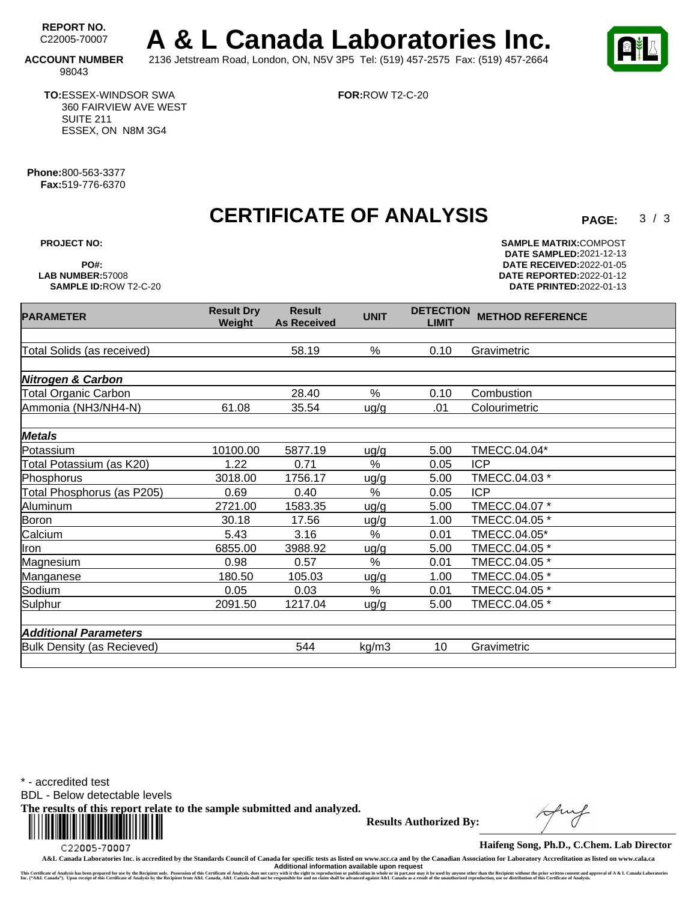REPORT NO.<br>C22005-70007 A & L Canada Laboratories Inc. **ACCOUNT NUMBER** 2136 Jetstream Road, London, ON, N5V 3P5 Tel: (519) 457-2575 Fax: (519) 457-2664

**FOR:**ROW T2-C-20

 $3/3$ 

98043

**TO:**ESSEX-WINDSOR SWA 360 FAIRVIEW AVE WEST SUITE 211 ESSEX, ON N8M 3G4

**Phone:**800-563-3377 **Fax:**519-776-6370

**CERTIFICATE OF ANALYSIS PAGE:** <sup>3</sup> /

**As Received UNIT DETECTION**

**Result**

Total Solids (as received) 58.19 % 0.10 Gravimetric

Total Organic Carbon 28.40 % 0.10 Combustion Ammonia (NH3/NH4-N) 61.08 35.54 ug/g .01 Colourimetric

Potassium 10100.00 5877.19 ug/g 5.00 TMECC.04.04\*

Phosphorus 100 18.00 1756.17 ug/g 5.00 TMECC.04.03 \*

Aluminum 2721.00 1583.35 ug/g 5.00 TMECC.04.07 \* Boron 30.18 17.56 ug/g 1.00 TMECC.04.05 \* Calcium 5.43 3.16 % 0.01 TMECC.04.05\* Iron 6855.00 3988.92 ug/g 5.00 TMECC.04.05 \* Magnesium **0.98** 0.57 % 0.01 TMECC.04.05 \* Manganese 180.50 105.03 ug/g 1.00 TMECC.04.05 \* Sodium 0.05 0.03 % 0.01 TMECC.04.05 \* Sulphur 2091.50 1217.04 ug/g 5.00 TMECC.04.05 \*

Total Potassium (as K20) 1.22 0.71 % 0.05 ICP

Total Phosphorus (as P205) 0.69 0.40 % 0.05 ICP

**Nitrogen & Carbon**

**Metals**

**PARAMETER Result Dry** 

**Weight**

**PROJECT NO: SAMPLE MATRIX:** COMPOST **DATE SAMPLED:** 2021-12-13 **PO#: DATE RECEIVED:**2022-01-05 **LAB NUMBER:**57008 **DATE REPORTED:**2022-01-12 **DATE PRINTED:**2022-01-13

**LIMIT METHOD REFERENCE**

Bulk Density (as Recieved) 544 kg/m3 10 Gravimetric

\* - accredited test

**Additional Parameters**

BDL - Below detectable levels

**The results of this report relate to the sample submitted and analyzed.** 



**Results Authorized By:**

**Haifeng Song, Ph.D., C.Chem. Lab Director**

**A&L Canada Laboratories Inc. is accredited by the Standards Council of Canada for specific tests as listed on www.scc.ca and by the Canadian Association for Laboratory Accreditation as listed on www.cala.ca Additional information available upon request**

This Certificate of Annysis has been prepared for us by the Recipient only. Possession of this Certificate of Annysis, does not carry with the right to reproduce in a back and a sume of the conder in party of the man of an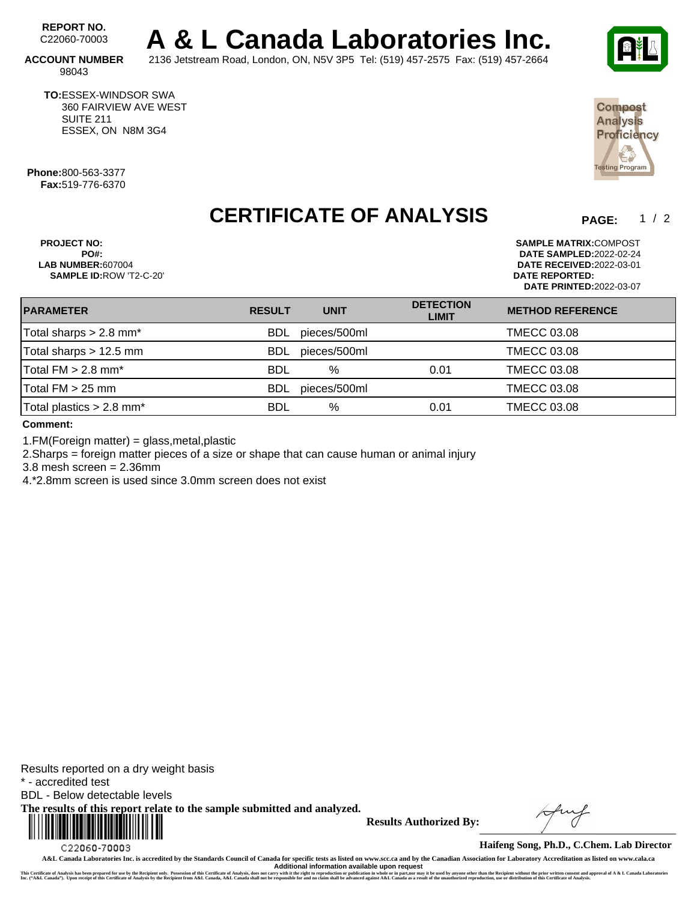REPORT NO.<br>C22060-70003 A & L Canada Laboratories Inc.

**ACCOUNT NUMBER** 2136 Jetstream Road, London, ON, N5V 3P5 Tel: (519) 457-2575 Fax: (519) 457-2664 98043

**TO:**ESSEX-WINDSOR SWA 360 FAIRVIEW AVE WEST SUITE 211 ESSEX, ON N8M 3G4

**Phone:**800-563-3377 **Fax:**519-776-6370

### **CERTIFICATE OF ANALYSIS**

**PROJECT NO: SAMPLE MATRIX:**COMPOST **PO#: DATE SAMPLED:**2022-02-24 **SAMPLE ID:**ROW 'T2-C-20' **DATE REPORTED:**

**LAB NUMBER:**607004 **DATE RECEIVED:**2022-03-01 **DATE PRINTED:**2022-03-07

| <b>PARAMETER</b>                       | <b>RESULT</b> | <b>UNIT</b>  | <b>DETECTION</b><br><b>LIMIT</b> | <b>METHOD REFERENCE</b> |  |
|----------------------------------------|---------------|--------------|----------------------------------|-------------------------|--|
| Total sharps $> 2.8$ mm <sup>*</sup>   | <b>BDL</b>    | pieces/500ml |                                  | <b>TMECC 03.08</b>      |  |
| Total sharps $> 12.5$ mm               | <b>BDL</b>    | pieces/500ml |                                  | <b>TMECC 03.08</b>      |  |
| Total $FM > 2.8$ mm <sup>*</sup>       | <b>BDL</b>    | $\%$         | 0.01                             | <b>TMECC 03.08</b>      |  |
| Total $FM > 25$ mm                     | <b>BDL</b>    | pieces/500ml |                                  | <b>TMECC 03.08</b>      |  |
| Total plastics $> 2.8$ mm <sup>*</sup> | BDL           | %            | 0.01                             | <b>TMECC 03.08</b>      |  |
|                                        |               |              |                                  |                         |  |

**Comment:**

1.FM(Foreign matter) = glass,metal,plastic

2.Sharps = foreign matter pieces of a size or shape that can cause human or animal injury

3.8 mesh screen = 2.36mm

4.\*2.8mm screen is used since 3.0mm screen does not exist

Results reported on a dry weight basis \* - accredited test BDL - Below detectable levels **The results of this report relate to the sample submitted and analyzed.**  

C22060-70003

**Results Authorized By:**



 $1 / 2$ 

Compost **Analysis** Proficiency

Ě sting Program

**Haifeng Song, Ph.D., C.Chem. Lab Director**

**A&L Canada Laboratories Inc. is accredited by the Standards Council of Canada for specific tests as listed on www.scc.ca and by the Canadian Association for Laboratory Accreditation as listed on www.cala.ca** Additional information available upon request<br>This Certificate of Analysis has been prepared for use by the Recipient only. Possession of this Certificate of Analysis, does not carry with the right to reproduction or publi